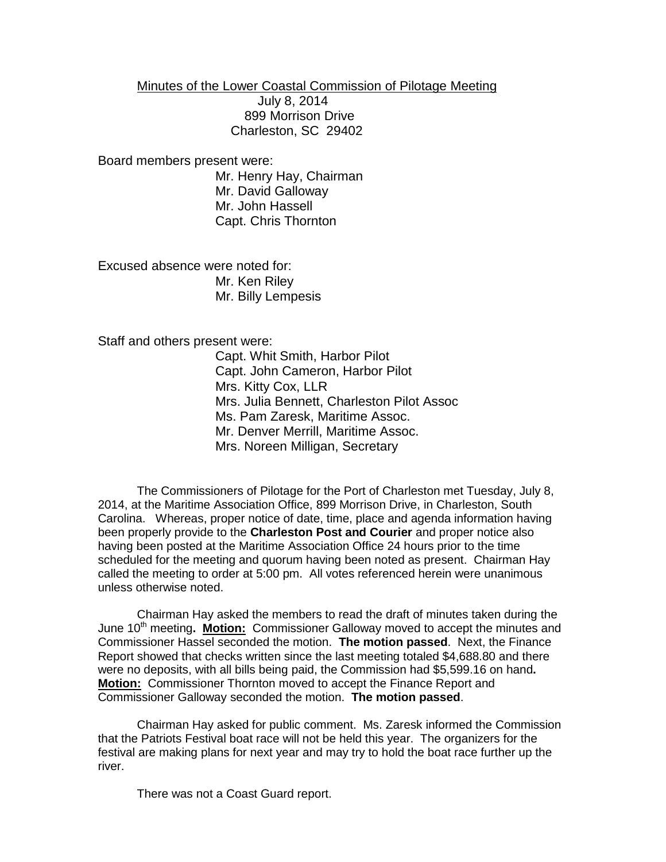Minutes of the Lower Coastal Commission of Pilotage Meeting

 July 8, 2014 899 Morrison Drive Charleston, SC 29402

Board members present were:

Mr. Henry Hay, Chairman Mr. David Galloway Mr. John Hassell Capt. Chris Thornton

Excused absence were noted for: Mr. Ken Riley Mr. Billy Lempesis

Staff and others present were:

Capt. Whit Smith, Harbor Pilot Capt. John Cameron, Harbor Pilot Mrs. Kitty Cox, LLR Mrs. Julia Bennett, Charleston Pilot Assoc Ms. Pam Zaresk, Maritime Assoc. Mr. Denver Merrill, Maritime Assoc. Mrs. Noreen Milligan, Secretary

The Commissioners of Pilotage for the Port of Charleston met Tuesday, July 8, 2014, at the Maritime Association Office, 899 Morrison Drive, in Charleston, South Carolina. Whereas, proper notice of date, time, place and agenda information having been properly provide to the **Charleston Post and Courier** and proper notice also having been posted at the Maritime Association Office 24 hours prior to the time scheduled for the meeting and quorum having been noted as present. Chairman Hay called the meeting to order at 5:00 pm. All votes referenced herein were unanimous unless otherwise noted.

Chairman Hay asked the members to read the draft of minutes taken during the June 10<sup>th</sup> meeting. Motion: Commissioner Galloway moved to accept the minutes and Commissioner Hassel seconded the motion. **The motion passed**. Next, the Finance Report showed that checks written since the last meeting totaled \$4,688.80 and there were no deposits, with all bills being paid, the Commission had \$5,599.16 on hand**. Motion:** Commissioner Thornton moved to accept the Finance Report and Commissioner Galloway seconded the motion. **The motion passed**.

Chairman Hay asked for public comment. Ms. Zaresk informed the Commission that the Patriots Festival boat race will not be held this year. The organizers for the festival are making plans for next year and may try to hold the boat race further up the river.

There was not a Coast Guard report.